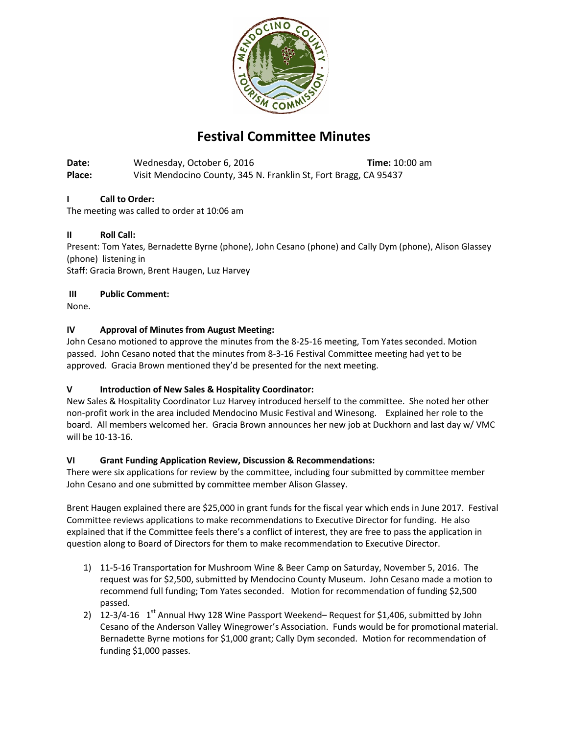

# **Festival Committee Minutes**

**Date:** Wednesday, October 6, 2016 **Time:** 10:00 am **Place:** Visit Mendocino County, 345 N. Franklin St, Fort Bragg, CA 95437

# **I Call to Order:**

The meeting was called to order at 10:06 am

## **II Roll Call:**

Present: Tom Yates, Bernadette Byrne (phone), John Cesano (phone) and Cally Dym (phone), Alison Glassey (phone) listening in

Staff: Gracia Brown, Brent Haugen, Luz Harvey

#### **III Public Comment:**

None.

## **IV Approval of Minutes from August Meeting:**

John Cesano motioned to approve the minutes from the 8-25-16 meeting, Tom Yates seconded. Motion passed. John Cesano noted that the minutes from 8-3-16 Festival Committee meeting had yet to be approved. Gracia Brown mentioned they'd be presented for the next meeting.

# **V Introduction of New Sales & Hospitality Coordinator:**

New Sales & Hospitality Coordinator Luz Harvey introduced herself to the committee. She noted her other non-profit work in the area included Mendocino Music Festival and Winesong. Explained her role to the board. All members welcomed her. Gracia Brown announces her new job at Duckhorn and last day w/ VMC will be 10-13-16.

#### **VI Grant Funding Application Review, Discussion & Recommendations:**

There were six applications for review by the committee, including four submitted by committee member John Cesano and one submitted by committee member Alison Glassey.

Brent Haugen explained there are \$25,000 in grant funds for the fiscal year which ends in June 2017. Festival Committee reviews applications to make recommendations to Executive Director for funding. He also explained that if the Committee feels there's a conflict of interest, they are free to pass the application in question along to Board of Directors for them to make recommendation to Executive Director.

- 1) 11-5-16 Transportation for Mushroom Wine & Beer Camp on Saturday, November 5, 2016. The request was for \$2,500, submitted by Mendocino County Museum. John Cesano made a motion to recommend full funding; Tom Yates seconded. Motion for recommendation of funding \$2,500 passed.
- 2)  $12-3/4-16$  1<sup>st</sup> Annual Hwy 128 Wine Passport Weekend– Request for \$1,406, submitted by John Cesano of the Anderson Valley Winegrower's Association. Funds would be for promotional material. Bernadette Byrne motions for \$1,000 grant; Cally Dym seconded. Motion for recommendation of funding \$1,000 passes.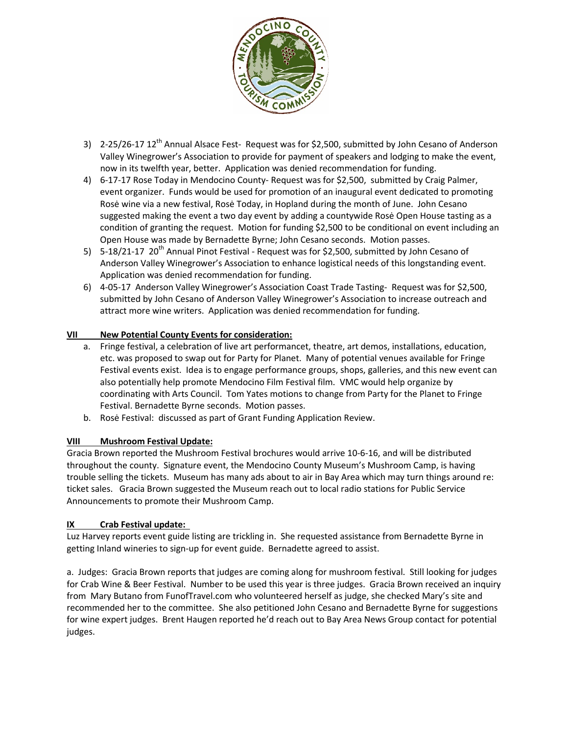

- 3) 2-25/26-17 12<sup>th</sup> Annual Alsace Fest- Request was for \$2,500, submitted by John Cesano of Anderson Valley Winegrower's Association to provide for payment of speakers and lodging to make the event, now in its twelfth year, better. Application was denied recommendation for funding.
- 4) 6-17-17 Rose Today in Mendocino County- Request was for \$2,500, submitted by Craig Palmer, event organizer. Funds would be used for promotion of an inaugural event dedicated to promoting Rosė wine via a new festival, Rosė Today, in Hopland during the month of June. John Cesano suggested making the event a two day event by adding a countywide Rosė Open House tasting as a condition of granting the request. Motion for funding \$2,500 to be conditional on event including an Open House was made by Bernadette Byrne; John Cesano seconds. Motion passes.
- 5) 5-18/21-17 20<sup>th</sup> Annual Pinot Festival Request was for \$2,500, submitted by John Cesano of Anderson Valley Winegrower's Association to enhance logistical needs of this longstanding event. Application was denied recommendation for funding.
- 6) 4-05-17 Anderson Valley Winegrower's Association Coast Trade Tasting- Request was for \$2,500, submitted by John Cesano of Anderson Valley Winegrower's Association to increase outreach and attract more wine writers. Application was denied recommendation for funding.

## **VII New Potential County Events for consideration:**

- a. Fringe festival, a celebration of live art performancet, theatre, art demos, installations, education, etc. was proposed to swap out for Party for Planet. Many of potential venues available for Fringe Festival events exist. Idea is to engage performance groups, shops, galleries, and this new event can also potentially help promote Mendocino Film Festival film. VMC would help organize by coordinating with Arts Council. Tom Yates motions to change from Party for the Planet to Fringe Festival. Bernadette Byrne seconds. Motion passes.
- b. Rosė Festival: discussed as part of Grant Funding Application Review.

#### **VIII Mushroom Festival Update:**

Gracia Brown reported the Mushroom Festival brochures would arrive 10-6-16, and will be distributed throughout the county. Signature event, the Mendocino County Museum's Mushroom Camp, is having trouble selling the tickets. Museum has many ads about to air in Bay Area which may turn things around re: ticket sales. Gracia Brown suggested the Museum reach out to local radio stations for Public Service Announcements to promote their Mushroom Camp.

#### **IX Crab Festival update:**

Luz Harvey reports event guide listing are trickling in. She requested assistance from Bernadette Byrne in getting Inland wineries to sign-up for event guide. Bernadette agreed to assist.

a. Judges: Gracia Brown reports that judges are coming along for mushroom festival. Still looking for judges for Crab Wine & Beer Festival. Number to be used this year is three judges. Gracia Brown received an inquiry from Mary Butano from FunofTravel.com who volunteered herself as judge, she checked Mary's site and recommended her to the committee. She also petitioned John Cesano and Bernadette Byrne for suggestions for wine expert judges. Brent Haugen reported he'd reach out to Bay Area News Group contact for potential judges.